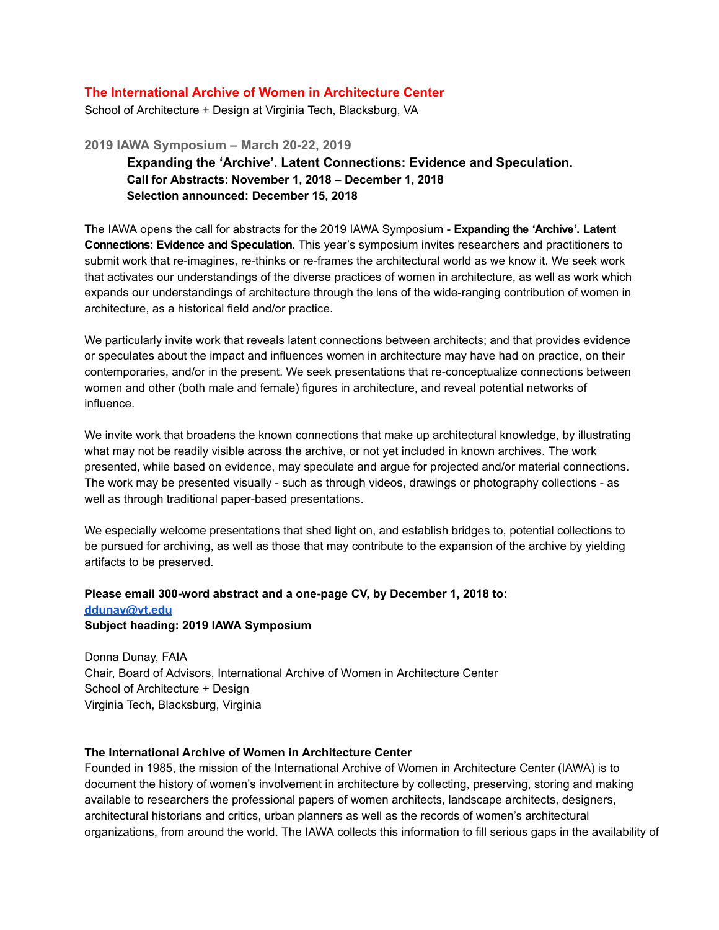## **The International Archive of Women in Architecture Center**

School of Architecture + Design at Virginia Tech, Blacksburg, VA

**2019 IAWA Symposium – March 2022, 2019 Expanding the 'Archive'. Latent Connections: Evidence and Speculation. Call for Abstracts: November 1, 2018 – December 1, 2018 Selection announced: December 15, 2018**

The IAWA opens the call for abstracts for the 2019 IAWA Symposium **Expanding the 'Archive'. Latent Connections: Evidence and Speculation.** This year's symposium invites researchers and practitioners to submit work that re-imagines, re-thinks or re-frames the architectural world as we know it. We seek work that activates our understandings of the diverse practices of women in architecture, as well as work which expands our understandings of architecture through the lens of the wide-ranging contribution of women in architecture, as a historical field and/or practice.

We particularly invite work that reveals latent connections between architects; and that provides evidence or speculates about the impact and influences women in architecture may have had on practice, on their contemporaries, and/or in the present. We seek presentations that reconceptualize connections between women and other (both male and female) figures in architecture, and reveal potential networks of influence.

We invite work that broadens the known connections that make up architectural knowledge, by illustrating what may not be readily visible across the archive, or not yet included in known archives. The work presented, while based on evidence, may speculate and argue for projected and/or material connections. The work may be presented visually - such as through videos, drawings or photography collections - as well as through traditional paper-based presentations.

We especially welcome presentations that shed light on, and establish bridges to, potential collections to be pursued for archiving, as well as those that may contribute to the expansion of the archive by yielding artifacts to be preserved.

## **Please email 300word abstract and a onepage CV, by December 1, 2018 to: [ddunay@vt.edu](mailto:ddunay@vt.edu) Subject heading: 2019 IAWA Symposium**

Donna Dunay, FAIA Chair, Board of Advisors, International Archive of Women in Architecture Center School of Architecture + Design Virginia Tech, Blacksburg, Virginia

## **The International Archive of Women in Architecture Center**

Founded in 1985, the mission of the International Archive of Women in Architecture Center (IAWA) is to document the history of women's involvement in architecture by collecting, preserving, storing and making available to researchers the professional papers of women architects, landscape architects, designers, architectural historians and critics, urban planners as well as the records of women's architectural organizations, from around the world. The IAWA collects this information to fill serious gaps in the availability of